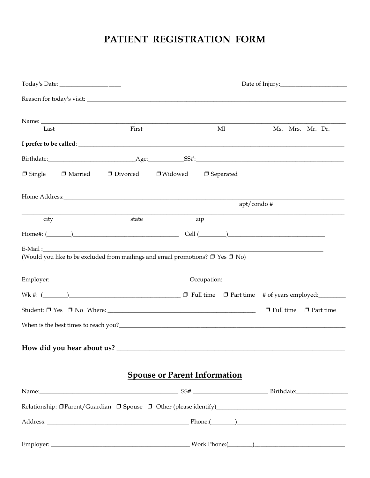# PATIENT REGISTRATION FORM

| Today's Date: ____________________ |           |                                                                                                                                                                                                                                                                                                                            |                                     |                                                                                                                                                                                                                                 |            |                                                                                                                                                                                                                                |
|------------------------------------|-----------|----------------------------------------------------------------------------------------------------------------------------------------------------------------------------------------------------------------------------------------------------------------------------------------------------------------------------|-------------------------------------|---------------------------------------------------------------------------------------------------------------------------------------------------------------------------------------------------------------------------------|------------|--------------------------------------------------------------------------------------------------------------------------------------------------------------------------------------------------------------------------------|
|                                    |           |                                                                                                                                                                                                                                                                                                                            |                                     |                                                                                                                                                                                                                                 |            |                                                                                                                                                                                                                                |
|                                    |           |                                                                                                                                                                                                                                                                                                                            |                                     |                                                                                                                                                                                                                                 |            |                                                                                                                                                                                                                                |
| Last                               |           | First                                                                                                                                                                                                                                                                                                                      |                                     | MI                                                                                                                                                                                                                              |            | Ms. Mrs. Mr. Dr.                                                                                                                                                                                                               |
|                                    |           |                                                                                                                                                                                                                                                                                                                            |                                     |                                                                                                                                                                                                                                 |            |                                                                                                                                                                                                                                |
|                                    |           |                                                                                                                                                                                                                                                                                                                            |                                     |                                                                                                                                                                                                                                 |            |                                                                                                                                                                                                                                |
| $\Box$ Single                      | □ Married | $\Box$ Divorced                                                                                                                                                                                                                                                                                                            | $\Box$ Widowed                      | $\Box$ Separated                                                                                                                                                                                                                |            |                                                                                                                                                                                                                                |
|                                    |           | Home Address: North Contract Contract Contract Contract Contract Contract Contract Contract Contract Contract Contract Contract Contract Contract Contract Contract Contract Contract Contract Contract Contract Contract Cont                                                                                             |                                     |                                                                                                                                                                                                                                 | apt/condo# |                                                                                                                                                                                                                                |
|                                    |           |                                                                                                                                                                                                                                                                                                                            |                                     |                                                                                                                                                                                                                                 |            |                                                                                                                                                                                                                                |
| city                               |           | state                                                                                                                                                                                                                                                                                                                      |                                     | zip                                                                                                                                                                                                                             |            |                                                                                                                                                                                                                                |
|                                    |           |                                                                                                                                                                                                                                                                                                                            |                                     | $Cell$ $\frac{)}{)}$                                                                                                                                                                                                            |            |                                                                                                                                                                                                                                |
|                                    |           | E-Mail: The Commission of the Commission of the Commission of the Commission of the Commission of the Commission of the Commission of the Commission of the Commission of the Commission of the Commission of the Commission o<br>(Would you like to be excluded from mailings and email promotions? $\Box$ Yes $\Box$ No) |                                     |                                                                                                                                                                                                                                 |            |                                                                                                                                                                                                                                |
|                                    |           |                                                                                                                                                                                                                                                                                                                            |                                     |                                                                                                                                                                                                                                 |            |                                                                                                                                                                                                                                |
|                                    |           |                                                                                                                                                                                                                                                                                                                            |                                     |                                                                                                                                                                                                                                 |            |                                                                                                                                                                                                                                |
|                                    |           |                                                                                                                                                                                                                                                                                                                            |                                     |                                                                                                                                                                                                                                 |            | Wk #: $(\_\_\_\_\_\_\_\_\_\_\_\_\$ $\Box$ Full time $\Box$ Part time # of years employed:                                                                                                                                      |
|                                    |           |                                                                                                                                                                                                                                                                                                                            |                                     |                                                                                                                                                                                                                                 |            | $\Box$ Full time $\Box$ Part time                                                                                                                                                                                              |
|                                    |           |                                                                                                                                                                                                                                                                                                                            |                                     | When is the best times to reach you?<br>The same state of the state of the state of the state of the state of the state of the state of the state of the state of the state of the state of the state of the state of the state |            |                                                                                                                                                                                                                                |
|                                    |           |                                                                                                                                                                                                                                                                                                                            |                                     |                                                                                                                                                                                                                                 |            |                                                                                                                                                                                                                                |
|                                    |           |                                                                                                                                                                                                                                                                                                                            | <b>Spouse or Parent Information</b> |                                                                                                                                                                                                                                 |            |                                                                                                                                                                                                                                |
|                                    |           |                                                                                                                                                                                                                                                                                                                            |                                     |                                                                                                                                                                                                                                 |            |                                                                                                                                                                                                                                |
|                                    |           |                                                                                                                                                                                                                                                                                                                            |                                     |                                                                                                                                                                                                                                 |            | Name: Birthdate: Birthdate: Birthdate: Birthdate: Birthdate: Birthdate: Birthdate: Birthdate: Birthdate: Birthdate: Birthdate: Birthdate: Birthdate: Birthdate: Birthdate: Birthdate: Birthdate: Birthdate: Birthdate: Birthda |
|                                    |           |                                                                                                                                                                                                                                                                                                                            |                                     |                                                                                                                                                                                                                                 |            | Relationship: OParent/Guardian O Spouse O Other (please identify)___________________________________                                                                                                                           |
|                                    |           |                                                                                                                                                                                                                                                                                                                            |                                     |                                                                                                                                                                                                                                 |            |                                                                                                                                                                                                                                |
|                                    |           |                                                                                                                                                                                                                                                                                                                            |                                     |                                                                                                                                                                                                                                 |            |                                                                                                                                                                                                                                |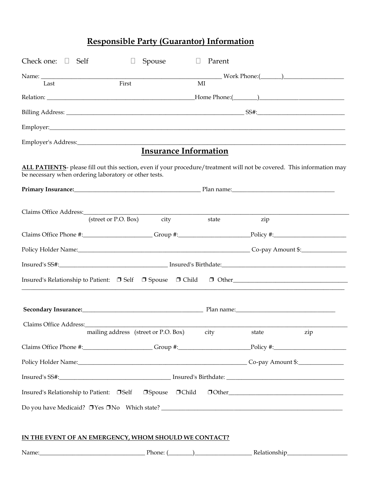# **Responsible Party (Guarantor) Information**

| Check one: $\Box$ Self | $\Box$                                                                                                                                                                                                                               | Spouse                       | Parent<br>$\Box$ |               |     |
|------------------------|--------------------------------------------------------------------------------------------------------------------------------------------------------------------------------------------------------------------------------------|------------------------------|------------------|---------------|-----|
|                        |                                                                                                                                                                                                                                      |                              |                  |               |     |
| Last                   | First                                                                                                                                                                                                                                |                              | MI               |               |     |
|                        |                                                                                                                                                                                                                                      |                              |                  |               |     |
|                        |                                                                                                                                                                                                                                      |                              |                  |               |     |
|                        |                                                                                                                                                                                                                                      |                              |                  |               |     |
|                        |                                                                                                                                                                                                                                      |                              |                  |               |     |
|                        |                                                                                                                                                                                                                                      | <b>Insurance Information</b> |                  |               |     |
|                        | ALL PATIENTS- please fill out this section, even if your procedure/treatment will not be covered. This information may<br>be necessary when ordering laboratory or other tests.                                                      |                              |                  |               |     |
|                        | Primary Insurance: <u>and the contract of the contract of the Planet Contract of the contract of the contract of the contract of the contract of the contract of the contract of the contract of the contract of the contract of</u> |                              |                  |               |     |
|                        |                                                                                                                                                                                                                                      |                              |                  |               |     |
|                        | Claims Office Address: (street or P.O. Box) city                                                                                                                                                                                     |                              | state            | zip           |     |
|                        | Claims Office Phone #:______________________Group #:______________________Policy #:___________________________                                                                                                                       |                              |                  |               |     |
|                        | Policy Holder Name: 1980 Manual Co-pay Amount \$:                                                                                                                                                                                    |                              |                  |               |     |
|                        |                                                                                                                                                                                                                                      |                              |                  |               |     |
|                        | Insured's Relationship to Patient: □ Self □ Spouse □ Child □ Other_________________________________                                                                                                                                  |                              |                  |               |     |
|                        | Secondary Insurance: 1990 Manual Manual Plan name: 2001 Manual Manual Manual Manual Manual Manual Manual Manua                                                                                                                       |                              |                  |               |     |
|                        |                                                                                                                                                                                                                                      |                              |                  |               |     |
| Claims Office Address: | mailing address (street or P.O. Box)                                                                                                                                                                                                 |                              | city             | state         | zip |
|                        | Claims Office Phone #: Group #: Group #: Policy #: Policy #:                                                                                                                                                                         |                              |                  |               |     |
|                        | Policy Holder Name: Co-pay Amount \$:                                                                                                                                                                                                |                              |                  |               |     |
|                        |                                                                                                                                                                                                                                      |                              |                  |               |     |
|                        | Insured's Relationship to Patient: □Self □Spouse □Child                                                                                                                                                                              |                              |                  | $\Box$ $\Box$ |     |
|                        |                                                                                                                                                                                                                                      |                              |                  |               |     |
|                        |                                                                                                                                                                                                                                      |                              |                  |               |     |
|                        | IN THE EVENT OF AN EMERGENCY, WHOM SHOULD WE CONTACT?                                                                                                                                                                                |                              |                  |               |     |
|                        | Name: <u>Name:</u> Phone: (2002)                                                                                                                                                                                                     |                              |                  |               |     |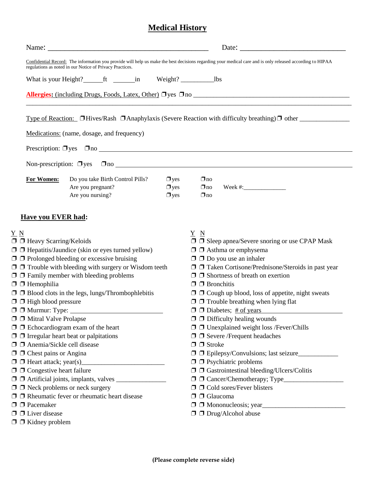# **Medical History**

|                                                                                                                                                                                                          |                                                                                                                                                                                                                                                                                                      |  |                                                                                                                                                                                                                              |                                     | Date:                                                                                                                                                                                                                                                                                                                    |
|----------------------------------------------------------------------------------------------------------------------------------------------------------------------------------------------------------|------------------------------------------------------------------------------------------------------------------------------------------------------------------------------------------------------------------------------------------------------------------------------------------------------|--|------------------------------------------------------------------------------------------------------------------------------------------------------------------------------------------------------------------------------|-------------------------------------|--------------------------------------------------------------------------------------------------------------------------------------------------------------------------------------------------------------------------------------------------------------------------------------------------------------------------|
|                                                                                                                                                                                                          | regulations as noted in our Notice of Privacy Practices.                                                                                                                                                                                                                                             |  |                                                                                                                                                                                                                              |                                     | Confidential Record: The information you provide will help us make the best decisions regarding your medical care and is only released according to HIPAA                                                                                                                                                                |
|                                                                                                                                                                                                          | What is your Height? _________ ft ____________ in Weight? _______________________ lbs                                                                                                                                                                                                                |  |                                                                                                                                                                                                                              |                                     |                                                                                                                                                                                                                                                                                                                          |
|                                                                                                                                                                                                          |                                                                                                                                                                                                                                                                                                      |  |                                                                                                                                                                                                                              |                                     |                                                                                                                                                                                                                                                                                                                          |
|                                                                                                                                                                                                          |                                                                                                                                                                                                                                                                                                      |  |                                                                                                                                                                                                                              |                                     | Type of Reaction: □Hives/Rash □Anaphylaxis (Severe Reaction with difficulty breathing)□ other                                                                                                                                                                                                                            |
|                                                                                                                                                                                                          | Medications: (name, dosage, and frequency)                                                                                                                                                                                                                                                           |  |                                                                                                                                                                                                                              |                                     |                                                                                                                                                                                                                                                                                                                          |
|                                                                                                                                                                                                          |                                                                                                                                                                                                                                                                                                      |  |                                                                                                                                                                                                                              |                                     |                                                                                                                                                                                                                                                                                                                          |
|                                                                                                                                                                                                          |                                                                                                                                                                                                                                                                                                      |  |                                                                                                                                                                                                                              |                                     |                                                                                                                                                                                                                                                                                                                          |
|                                                                                                                                                                                                          |                                                                                                                                                                                                                                                                                                      |  |                                                                                                                                                                                                                              |                                     | Non-prescription: $\Box$ yes $\Box$ no                                                                                                                                                                                                                                                                                   |
| For Women:                                                                                                                                                                                               | Do you take Birth Control Pills?<br>Are you pregnant?<br>Are you nursing?                                                                                                                                                                                                                            |  | $\Box$ yes<br>$\Box$ yes<br>$\Box$ yes                                                                                                                                                                                       | $\Box$ no<br>$\Box$ no<br>$\Box$ no |                                                                                                                                                                                                                                                                                                                          |
| <b>Have you EVER had:</b>                                                                                                                                                                                |                                                                                                                                                                                                                                                                                                      |  |                                                                                                                                                                                                                              |                                     |                                                                                                                                                                                                                                                                                                                          |
| <u>Y N</u><br>$\Box$ Heavy Scarring/Keloids<br>$\Box$ Hemophilia                                                                                                                                         | $\Box$ Hepatitis/Jaundice (skin or eyes turned yellow)<br>$\Box$ $\Box$ Prolonged bleeding or excessive bruising<br>$\Box$ $\Box$ Trouble with bleeding with surgery or Wisdom teeth<br>$\Box$ $\Box$ Family member with bleeding problems<br>$\Box$ Blood clots in the legs, lungs/Thrombophlebitis |  |                                                                                                                                                                                                                              | Y N<br>$\Box$ Bronchitis            | $\Box$ $\Box$ Sleep apnea/Severe snoring or use CPAP Mask<br>$\Box$ $\Box$ Asthma or emphysema<br>$\Box$ $\Box$ Do you use an inhaler<br>$\Box$ $\Box$ Taken Cortisone/Prednisone/Steroids in past year<br>$\Box$ $\Box$ Shortness of breath on exertion<br>$\Box$ $\Box$ Cough up blood, loss of appetite, night sweats |
| $\Box$ $\Box$ High blood pressure<br>$\Box$ $\Box$ Murmur: Type:<br>$\Box$ $\Box$ Mitral Valve Prolapse<br>$\Box$ $\Box$ Echocardiogram exam of the heart<br>$\Box$ Irregular heart beat or palpitations |                                                                                                                                                                                                                                                                                                      |  | $\Box$ $\Box$ Trouble breathing when lying flat<br>$\Box$ $\Box$ Diabetes; # of years<br>$\Box$ $\Box$ Difficulty healing wounds<br>$\Box$ Unexplained weight loss /Fever/Chills<br>$\Box$ $\Box$ Severe /Frequent headaches |                                     |                                                                                                                                                                                                                                                                                                                          |
| $\Box$ Anemia/Sickle cell disease<br>$\Box$ $\Box$ Chest pains or Angina<br>$\Box$ $\Box$ Congestive heart failure                                                                                       |                                                                                                                                                                                                                                                                                                      |  |                                                                                                                                                                                                                              | $\Box$ $\Box$ Stroke                | $\Box$ $\Box$ Psychiatric problems<br>$\Box$ $\Box$ Gastrointestinal bleeding/Ulcers/Colitis                                                                                                                                                                                                                             |
| $\Box$ $\Box$ Neck problems or neck surgery<br>$\Box$ Pacemaker                                                                                                                                          | $\Box$ Rheumatic fever or rheumatic heart disease                                                                                                                                                                                                                                                    |  |                                                                                                                                                                                                                              | $\Box$ $\Box$ Glaucoma              | $\Box$ $\Box$ Cold sores/Fever blisters                                                                                                                                                                                                                                                                                  |
| $\Box$ $\Box$ Liver disease<br>$\Box$ $\Box$ Kidney problem                                                                                                                                              |                                                                                                                                                                                                                                                                                                      |  |                                                                                                                                                                                                                              |                                     | $\Box$ $\Box$ Drug/Alcohol abuse                                                                                                                                                                                                                                                                                         |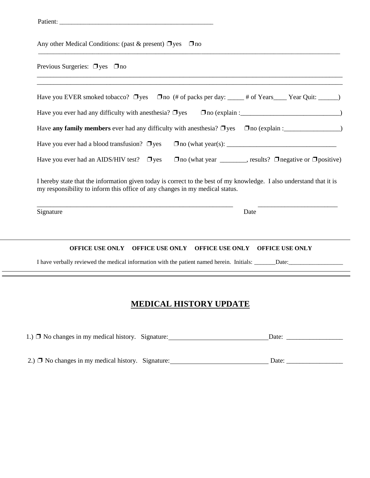|                                                   | Any other Medical Conditions: (past & present) $\Box$ yes                                                                                                                                            |  |
|---------------------------------------------------|------------------------------------------------------------------------------------------------------------------------------------------------------------------------------------------------------|--|
| Previous Surgeries: $\Box$ yes $\Box$ no          | <u> 1980 - John Stone, Amerikaansk politiker († 1908)</u>                                                                                                                                            |  |
|                                                   | Have you EVER smoked tobacco? □ yes □ no (# of packs per day: ____ # of Years ___ Year Quit: _____)                                                                                                  |  |
|                                                   | Have you ever had any difficulty with an esthesia? $\Box$ yes                                                                                                                                        |  |
|                                                   | Have any family members ever had any difficulty with anesthesia? $\Box$ yes $\Box$ no (explain :                                                                                                     |  |
| Have you ever had a blood transfusion? $\Box$ yes |                                                                                                                                                                                                      |  |
| Have you ever had an AIDS/HIV test? $\Box$ yes    | $\Box$ no (what year _________, results? $\Box$ negative or $\Box$ positive)                                                                                                                         |  |
|                                                   | I hereby state that the information given today is correct to the best of my knowledge. I also understand that it is<br>my responsibility to inform this office of any changes in my medical status. |  |
| Signature                                         | Date                                                                                                                                                                                                 |  |
|                                                   |                                                                                                                                                                                                      |  |
| <b>OFFICE USE ONLY</b>                            | <b>OFFICE USE ONLY</b><br>OFFICE USE ONLY OFFICE USE ONLY                                                                                                                                            |  |

| 1.) $\Box$ No changes in my medical history. Signature: | Date: |
|---------------------------------------------------------|-------|
|                                                         |       |
|                                                         |       |
| 2.) $\Box$ No changes in my medical history. Signature: | Date: |

 $\frac{1}{\sqrt{1-\frac{1}{2}}}$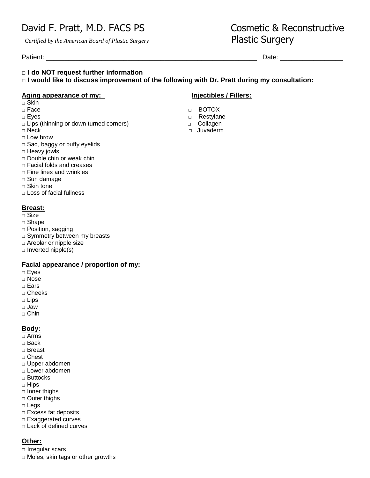# David F. Pratt, M.D. FACS PS
Solution Cosmetic & Reconstructive

 *Certified by the American Board of Plastic Surgery*Plastic Surgery

Patient: \_\_\_\_\_\_\_\_\_\_\_\_\_\_\_\_\_\_\_\_\_\_\_\_\_\_\_\_\_\_\_\_\_\_\_\_\_\_\_\_\_\_\_\_\_\_\_\_\_\_\_\_\_\_\_\_\_ Date: \_\_\_\_\_\_\_\_\_\_\_\_\_\_\_\_\_

### **□ I do NOT request further information**

**□ I would like to discuss improvement of the following with Dr. Pratt during my consultation:** 

### **Aging appearance of my: Injectibles / Fillers:**

- □ Skin
- 
- 
- □ Lips (thinning or down turned corners) □ Collagen
- 
- □ Low brow
- □ Sad, baggy or puffy eyelids
- □ Heavy jowls
- □ Double chin or weak chin
- □ Facial folds and creases
- $\Box$  Fine lines and wrinkles
- □ Sun damage
- □ Skin tone
- □ Loss of facial fullness

## **Breast:**

- □ Size
- □ Shape
- □ Position, sagging
- □ Symmetry between my breasts
- □ Areolar or nipple size
- $\square$  Inverted nipple(s)

## **Facial appearance / proportion of my:**

- □ Eyes
- □ Nose
- □ Ears
- □ Cheeks
- □ Lips
- □ Jaw
- □ Chin

## **Body:**

- □ Arms
- □ Back
- □ Breast
- □ Chest
- □ Upper abdomen
- □ Lower abdomen
- □ Buttocks
- □ Hips
- □ Inner thighs
- □ Outer thighs
- □ Legs
- □ Excess fat deposits
- □ Exaggerated curves
- □ Lack of defined curves

## **Other:**

□ Irregular scars

 $\Box$  Moles, skin tags or other growths

- □ Face BOTOX
- □ Eyes □ Prestylane
	-
- □ Neck □ Neck □ Juvaderm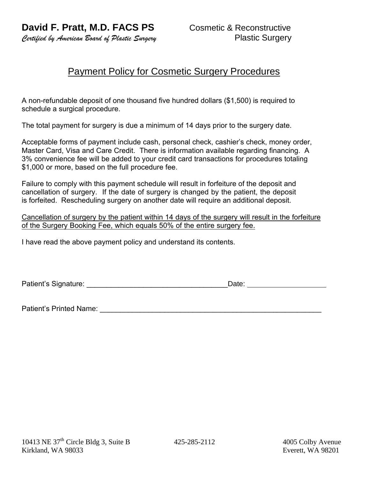*Certified by American Board of Plastic Surgery* Plastic Surgery

## Payment Policy for Cosmetic Surgery Procedures

A non-refundable deposit of one thousand five hundred dollars (\$1,500) is required to schedule a surgical procedure.

The total payment for surgery is due a minimum of 14 days prior to the surgery date.

Acceptable forms of payment include cash, personal check, cashier's check, money order, Master Card, Visa and Care Credit. There is information available regarding financing. A 3% convenience fee will be added to your credit card transactions for procedures totaling \$1,000 or more, based on the full procedure fee.

Failure to comply with this payment schedule will result in forfeiture of the deposit and cancellation of surgery. If the date of surgery is changed by the patient, the deposit is forfeited. Rescheduling surgery on another date will require an additional deposit.

Cancellation of surgery by the patient within 14 days of the surgery will result in the forfeiture of the Surgery Booking Fee, which equals 50% of the entire surgery fee.

I have read the above payment policy and understand its contents.

Patient's Signature: \_\_\_\_\_\_\_\_\_\_\_\_\_\_\_\_\_\_\_\_\_\_\_\_\_\_\_\_\_\_\_\_\_\_\_Date:

Patient's Printed Name: \_\_\_\_\_\_\_\_\_\_\_\_\_\_\_\_\_\_\_\_\_\_\_\_\_\_\_\_\_\_\_\_\_\_\_\_\_\_\_\_\_\_\_\_\_\_\_\_\_\_\_\_\_\_\_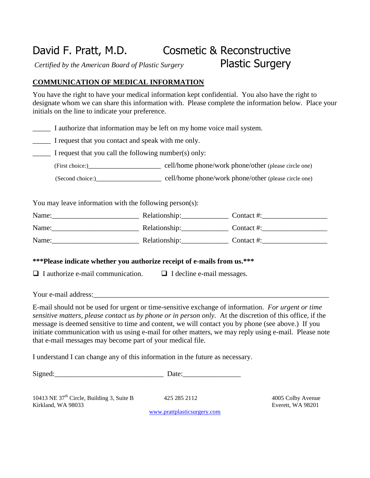# David F. Pratt, M.D. Cosmetic & Reconstructive *Certified by the American Board of Plastic Surgery* Plastic Surgery

## **COMMUNICATION OF MEDICAL INFORMATION**

You have the right to have your medical information kept confidential. You also have the right to designate whom we can share this information with. Please complete the information below. Place your initials on the line to indicate your preference.

\_\_\_\_\_ I authorize that information may be left on my home voice mail system.

\_\_\_\_\_ I request that you contact and speak with me only.

I request that you call the following number(s) only:

(First choice:)\_\_\_\_\_\_\_\_\_\_\_\_\_\_\_\_\_\_\_\_ cell/home phone/work phone/other (please circle one)

(Second choice:) cell/home phone/work phone/other (please circle one)

You may leave information with the following person(s):

| Name: | Relationship: | Contact #: |
|-------|---------------|------------|
| Name: | Relationship: | Contact #: |
| Name: | Relationship: | Contact #: |

## **\*\*\*Please indicate whether you authorize receipt of e-mails from us.\*\*\***

 $\Box$  I authorize e-mail communication.  $\Box$  I decline e-mail messages.

Your e-mail address:

E-mail should not be used for urgent or time-sensitive exchange of information. *For urgent or time sensitive matters, please contact us by phone or in person only.* At the discretion of this office, if the message is deemed sensitive to time and content, we will contact you by phone (see above.) If you initiate communication with us using e-mail for other matters, we may reply using e-mail. Please note that e-mail messages may become part of your medical file.

I understand I can change any of this information in the future as necessary.

Signed: Date:

10413 NE  $37<sup>th</sup>$  Circle, Building 3, Suite B 425 285 2112 4005 Colby Avenue Kirkland, WA 98033 Everett, WA 98201

[www.prattplasticsurgery.com](http://www.prattplasticsurgery.com/)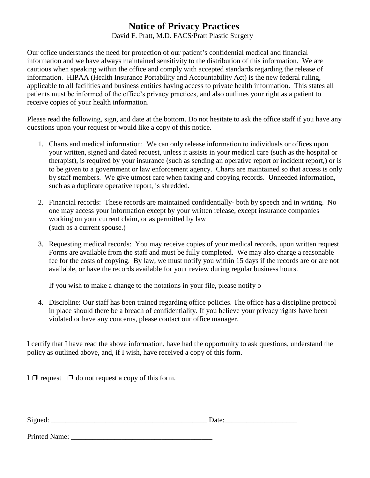# **Notice of Privacy Practices**

David F. Pratt, M.D. FACS/Pratt Plastic Surgery

Our office understands the need for protection of our patient's confidential medical and financial information and we have always maintained sensitivity to the distribution of this information. We are cautious when speaking within the office and comply with accepted standards regarding the release of information. HIPAA (Health Insurance Portability and Accountability Act) is the new federal ruling, applicable to all facilities and business entities having access to private health information. This states all patients must be informed of the office's privacy practices, and also outlines your right as a patient to receive copies of your health information.

Please read the following, sign, and date at the bottom. Do not hesitate to ask the office staff if you have any questions upon your request or would like a copy of this notice.

- 1. Charts and medical information: We can only release information to individuals or offices upon your written, signed and dated request, unless it assists in your medical care (such as the hospital or therapist), is required by your insurance (such as sending an operative report or incident report,) or is to be given to a government or law enforcement agency. Charts are maintained so that access is only by staff members. We give utmost care when faxing and copying records. Unneeded information, such as a duplicate operative report, is shredded.
- 2. Financial records: These records are maintained confidentially- both by speech and in writing. No one may access your information except by your written release, except insurance companies working on your current claim, or as permitted by law (such as a current spouse.)
- 3. Requesting medical records: You may receive copies of your medical records, upon written request. Forms are available from the staff and must be fully completed. We may also charge a reasonable fee for the costs of copying. By law, we must notify you within 15 days if the records are or are not available, or have the records available for your review during regular business hours.

If you wish to make a change to the notations in your file, please notify o

4. Discipline: Our staff has been trained regarding office policies. The office has a discipline protocol in place should there be a breach of confidentiality. If you believe your privacy rights have been violated or have any concerns, please contact our office manager.

I certify that I have read the above information, have had the opportunity to ask questions, understand the policy as outlined above, and, if I wish, have received a copy of this form.

I  $\Box$  request  $\Box$  do not request a copy of this form.

| $\sim$ |  |  |
|--------|--|--|
|--------|--|--|

Printed Name: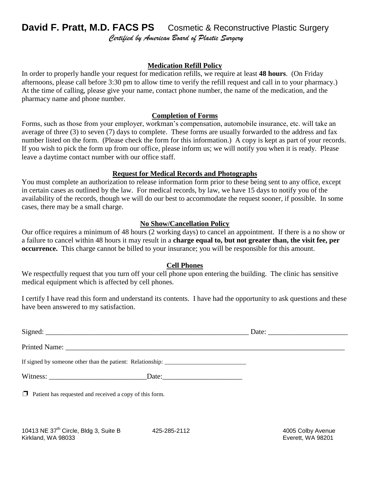# **David F. Pratt, M.D. FACS PS** Cosmetic & Reconstructive Plastic Surgery *Certified by American Board of Plastic Surgery*

## **Medication Refill Policy**

In order to properly handle your request for medication refills, we require at least **48 hours**. (On Friday afternoons, please call before 3:30 pm to allow time to verify the refill request and call in to your pharmacy.) At the time of calling, please give your name, contact phone number, the name of the medication, and the pharmacy name and phone number.

## **Completion of Forms**

Forms, such as those from your employer, workman's compensation, automobile insurance, etc. will take an average of three (3) to seven (7) days to complete. These forms are usually forwarded to the address and fax number listed on the form. (Please check the form for this information.) A copy is kept as part of your records. If you wish to pick the form up from our office, please inform us; we will notify you when it is ready. Please leave a daytime contact number with our office staff.

## **Request for Medical Records and Photographs**

You must complete an authorization to release information form prior to these being sent to any office, except in certain cases as outlined by the law. For medical records, by law, we have 15 days to notify you of the availability of the records, though we will do our best to accommodate the request sooner, if possible. In some cases, there may be a small charge.

## **No Show/Cancellation Policy**

Our office requires a minimum of 48 hours (2 working days) to cancel an appointment. If there is a no show or a failure to cancel within 48 hours it may result in a **charge equal to, but not greater than, the visit fee, per occurrence.** This charge cannot be billed to your insurance; you will be responsible for this amount.

## **Cell Phones**

We respectfully request that you turn off your cell phone upon entering the building. The clinic has sensitive medical equipment which is affected by cell phones.

I certify I have read this form and understand its contents. I have had the opportunity to ask questions and these have been answered to my satisfaction.

|                                                                                   | Date: $\_\_$ |
|-----------------------------------------------------------------------------------|--------------|
|                                                                                   |              |
| If signed by someone other than the patient: Relationship: ______________________ |              |
|                                                                                   |              |
| $\Box$ Patient has requested and received a copy of this form.                    |              |